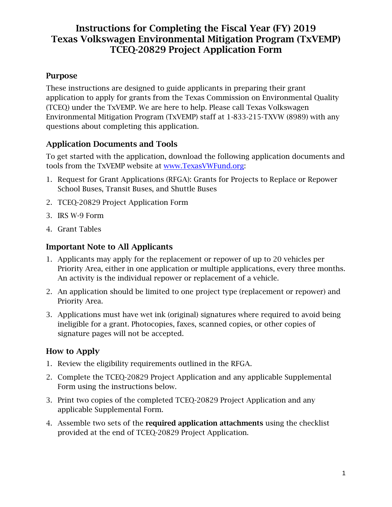### Purpose

These instructions are designed to guide applicants in preparing their grant application to apply for grants from the Texas Commission on Environmental Quality (TCEQ) under the TxVEMP. We are here to help. Please call Texas Volkswagen Environmental Mitigation Program (TxVEMP) staff at 1-833-215-TXVW (8989) with any questions about completing this application.

### Application Documents and Tools

To get started with the application, download the following application documents and tools from the TxVEMP website at [www.TexasVWFund.org:](http://www.texasvwfund.org/)

- 1. Request for Grant Applications (RFGA): Grants for Projects to Replace or Repower School Buses, Transit Buses, and Shuttle Buses
- 2. TCEQ-20829 Project Application Form
- 3. IRS W-9 Form
- 4. Grant Tables

### Important Note to All Applicants

- 1. Applicants may apply for the replacement or repower of up to 20 vehicles per Priority Area, either in one application or multiple applications, every three months. An activity is the individual repower or replacement of a vehicle.
- 2. An application should be limited to one project type (replacement or repower) and Priority Area.
- 3. Applications must have wet ink (original) signatures where required to avoid being ineligible for a grant. Photocopies, faxes, scanned copies, or other copies of signature pages will not be accepted.

### How to Apply

- 1. Review the eligibility requirements outlined in the RFGA.
- 2. Complete the TCEQ-20829 Project Application and any applicable Supplemental Form using the instructions below.
- 3. Print two copies of the completed TCEQ-20829 Project Application and any applicable Supplemental Form.
- 4. Assemble two sets of the required application attachments using the checklist provided at the end of TCEQ-20829 Project Application.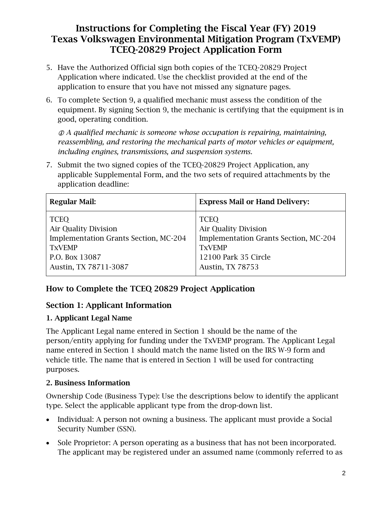- 5. Have the Authorized Official sign both copies of the TCEQ-20829 Project Application where indicated. Use the checklist provided at the end of the application to ensure that you have not missed any signature pages.
- 6. To complete Section 9, a qualified mechanic must assess the condition of the equipment. By signing Section 9, the mechanic is certifying that the equipment is in good, operating condition.

 *A qualified mechanic is someone whose occupation is repairing, maintaining, reassembling, and restoring the mechanical parts of motor vehicles or equipment, including engines, transmissions, and suspension systems.*

7. Submit the two signed copies of the TCEQ-20829 Project Application, any applicable Supplemental Form, and the two sets of required attachments by the application deadline:

| <b>Regular Mail:</b>                  | <b>Express Mail or Hand Delivery:</b> |
|---------------------------------------|---------------------------------------|
| <b>TCEQ</b>                           | <b>TCEQ</b>                           |
| <b>Air Quality Division</b>           | <b>Air Quality Division</b>           |
| Implementation Grants Section, MC-204 | Implementation Grants Section, MC-204 |
| <b>TXVEMP</b>                         | <b>TXVEMP</b>                         |
| P.O. Box 13087                        | 12100 Park 35 Circle                  |
| Austin, TX 78711-3087                 | <b>Austin, TX 78753</b>               |
|                                       |                                       |

### How to Complete the TCEQ 20829 Project Application

### Section 1: Applicant Information

#### 1. Applicant Legal Name

The Applicant Legal name entered in Section 1 should be the name of the person/entity applying for funding under the TxVEMP program. The Applicant Legal name entered in Section 1 should match the name listed on the IRS W-9 form and vehicle title. The name that is entered in Section 1 will be used for contracting purposes.

#### 2. Business Information

Ownership Code (Business Type): Use the descriptions below to identify the applicant type. Select the applicable applicant type from the drop-down list.

- Individual: A person not owning a business. The applicant must provide a Social Security Number (SSN).
- Sole Proprietor: A person operating as a business that has not been incorporated. The applicant may be registered under an assumed name (commonly referred to as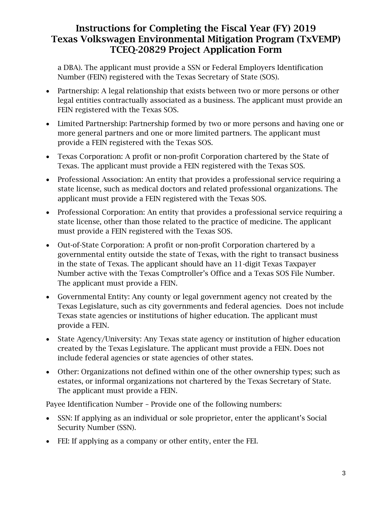a DBA). The applicant must provide a SSN or Federal Employers Identification Number (FEIN) registered with the Texas Secretary of State (SOS).

- Partnership: A legal relationship that exists between two or more persons or other legal entities contractually associated as a business. The applicant must provide an FEIN registered with the Texas SOS.
- Limited Partnership: Partnership formed by two or more persons and having one or more general partners and one or more limited partners. The applicant must provide a FEIN registered with the Texas SOS.
- Texas Corporation: A profit or non-profit Corporation chartered by the State of Texas. The applicant must provide a FEIN registered with the Texas SOS.
- Professional Association: An entity that provides a professional service requiring a state license, such as medical doctors and related professional organizations. The applicant must provide a FEIN registered with the Texas SOS.
- Professional Corporation: An entity that provides a professional service requiring a state license, other than those related to the practice of medicine. The applicant must provide a FEIN registered with the Texas SOS.
- Out-of-State Corporation: A profit or non-profit Corporation chartered by a governmental entity outside the state of Texas, with the right to transact business in the state of Texas. The applicant should have an 11-digit Texas Taxpayer Number active with the Texas Comptroller's Office and a Texas SOS File Number. The applicant must provide a FEIN.
- Governmental Entity: Any county or legal government agency not created by the Texas Legislature, such as city governments and federal agencies. Does not include Texas state agencies or institutions of higher education. The applicant must provide a FEIN.
- State Agency/University: Any Texas state agency or institution of higher education created by the Texas Legislature. The applicant must provide a FEIN. Does not include federal agencies or state agencies of other states.
- Other: Organizations not defined within one of the other ownership types; such as estates, or informal organizations not chartered by the Texas Secretary of State. The applicant must provide a FEIN.

Payee Identification Number – Provide one of the following numbers:

- SSN: If applying as an individual or sole proprietor, enter the applicant's Social Security Number (SSN).
- FEI: If applying as a company or other entity, enter the FEI.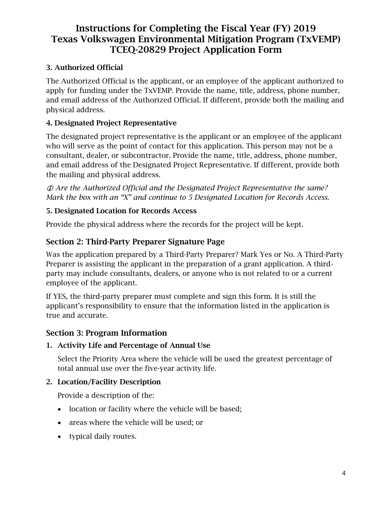### 3. Authorized Official

The Authorized Official is the applicant, or an employee of the applicant authorized to apply for funding under the TxVEMP. Provide the name, title, address, phone number, and email address of the Authorized Official. If different, provide both the mailing and physical address.

#### 4. Designated Project Representative

The designated project representative is the applicant or an employee of the applicant who will serve as the point of contact for this application. This person may not be a consultant, dealer, or subcontractor. Provide the name, title, address, phone number, and email address of the Designated Project Representative. If different, provide both the mailing and physical address.

 *Are the Authorized Official and the Designated Project Representative the same? Mark the box with an "X" and continue to 5 Designated Location for Records Access.*

#### 5. Designated Location for Records Access

Provide the physical address where the records for the project will be kept.

### Section 2: Third-Party Preparer Signature Page

Was the application prepared by a Third-Party Preparer? Mark Yes or No. A Third-Party Preparer is assisting the applicant in the preparation of a grant application. A thirdparty may include consultants, dealers, or anyone who is not related to or a current employee of the applicant.

If YES, the third-party preparer must complete and sign this form. It is still the applicant's responsibility to ensure that the information listed in the application is true and accurate.

#### Section 3: Program Information

#### 1. Activity Life and Percentage of Annual Use

Select the Priority Area where the vehicle will be used the greatest percentage of total annual use over the five-year activity life.

#### 2. Location/Facility Description

Provide a description of the:

- location or facility where the vehicle will be based;
- areas where the vehicle will be used; or
- typical daily routes.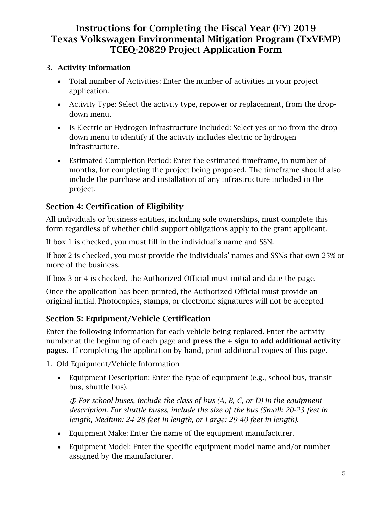### 3. Activity Information

- Total number of Activities: Enter the number of activities in your project application.
- Activity Type: Select the activity type, repower or replacement, from the dropdown menu.
- Is Electric or Hydrogen Infrastructure Included: Select yes or no from the dropdown menu to identify if the activity includes electric or hydrogen Infrastructure.
- Estimated Completion Period: Enter the estimated timeframe, in number of months, for completing the project being proposed. The timeframe should also include the purchase and installation of any infrastructure included in the project.

# Section 4: Certification of Eligibility

All individuals or business entities, including sole ownerships, must complete this form regardless of whether child support obligations apply to the grant applicant.

If box 1 is checked, you must fill in the individual's name and SSN.

If box 2 is checked, you must provide the individuals' names and SSNs that own 25% or more of the business.

If box 3 or 4 is checked, the Authorized Official must initial and date the page.

Once the application has been printed, the Authorized Official must provide an original initial. Photocopies, stamps, or electronic signatures will not be accepted

## Section 5: Equipment/Vehicle Certification

Enter the following information for each vehicle being replaced. Enter the activity number at the beginning of each page and press the + sign to add additional activity pages. If completing the application by hand, print additional copies of this page.

- 1. Old Equipment/Vehicle Information
	- Equipment Description: Enter the type of equipment (e.g., school bus, transit bus, shuttle bus).

 *For school buses, include the class of bus (A, B, C, or D) in the equipment description. For shuttle buses, include the size of the bus (Small: 20-23 feet in length, Medium: 24-28 feet in length, or Large: 29-40 feet in length).*

- Equipment Make: Enter the name of the equipment manufacturer.
- Equipment Model: Enter the specific equipment model name and/or number assigned by the manufacturer.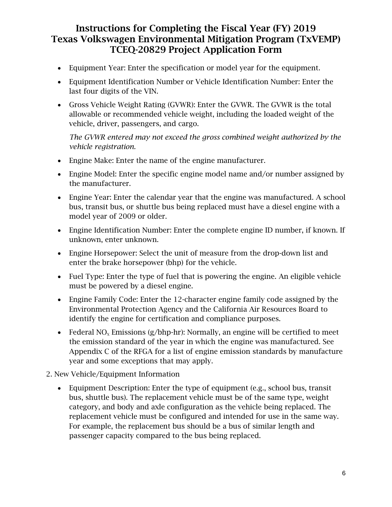- Equipment Year: Enter the specification or model year for the equipment.
- Equipment Identification Number or Vehicle Identification Number: Enter the last four digits of the VIN.
- Gross Vehicle Weight Rating (GVWR): Enter the GVWR. The GVWR is the total allowable or recommended vehicle weight, including the loaded weight of the vehicle, driver, passengers, and cargo.

*The GVWR entered may not exceed the gross combined weight authorized by the vehicle registration.*

- Engine Make: Enter the name of the engine manufacturer.
- Engine Model: Enter the specific engine model name and/or number assigned by the manufacturer.
- Engine Year: Enter the calendar year that the engine was manufactured. A school bus, transit bus, or shuttle bus being replaced must have a diesel engine with a model year of 2009 or older.
- Engine Identification Number: Enter the complete engine ID number, if known. If unknown, enter unknown.
- Engine Horsepower: Select the unit of measure from the drop-down list and enter the brake horsepower (bhp) for the vehicle.
- Fuel Type: Enter the type of fuel that is powering the engine. An eligible vehicle must be powered by a diesel engine.
- Engine Family Code: Enter the 12-character engine family code assigned by the Environmental Protection Agency and the California Air Resources Board to identify the engine for certification and compliance purposes.
- Federal NO<sub>x</sub> Emissions (g/bhp-hr): Normally, an engine will be certified to meet the emission standard of the year in which the engine was manufactured. See Appendix C of the RFGA for a list of engine emission standards by manufacture year and some exceptions that may apply.
- 2. New Vehicle/Equipment Information
	- Equipment Description: Enter the type of equipment (e.g., school bus, transit bus, shuttle bus). The replacement vehicle must be of the same type, weight category, and body and axle configuration as the vehicle being replaced. The replacement vehicle must be configured and intended for use in the same way. For example, the replacement bus should be a bus of similar length and passenger capacity compared to the bus being replaced.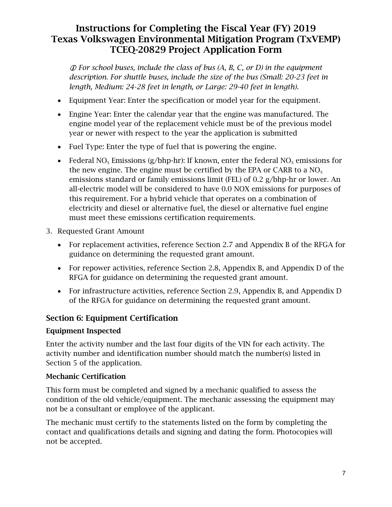*For school buses, include the class of bus (A, B, C, or D) in the equipment description. For shuttle buses, include the size of the bus (Small: 20-23 feet in length, Medium: 24-28 feet in length, or Large: 29-40 feet in length).*

- Equipment Year: Enter the specification or model year for the equipment.
- Engine Year: Enter the calendar year that the engine was manufactured. The engine model year of the replacement vehicle must be of the previous model year or newer with respect to the year the application is submitted
- Fuel Type: Enter the type of fuel that is powering the engine.
- Federal NO<sub>x</sub> Emissions (g/bhp-hr): If known, enter the federal NO<sub>x</sub> emissions for the new engine. The engine must be certified by the EPA or CARB to a  $NO<sub>x</sub>$ emissions standard or family emissions limit (FEL) of 0.2 g/bhp-hr or lower. An all-electric model will be considered to have 0.0 NOX emissions for purposes of this requirement. For a hybrid vehicle that operates on a combination of electricity and diesel or alternative fuel, the diesel or alternative fuel engine must meet these emissions certification requirements.
- 3. Requested Grant Amount
	- For replacement activities, reference Section 2.7 and Appendix B of the RFGA for guidance on determining the requested grant amount.
	- For repower activities, reference Section 2.8, Appendix B, and Appendix D of the RFGA for guidance on determining the requested grant amount.
	- For infrastructure activities, reference Section 2.9, Appendix B, and Appendix D of the RFGA for guidance on determining the requested grant amount.

### Section 6: Equipment Certification

#### Equipment Inspected

Enter the activity number and the last four digits of the VIN for each activity. The activity number and identification number should match the number(s) listed in Section 5 of the application.

#### Mechanic Certification

This form must be completed and signed by a mechanic qualified to assess the condition of the old vehicle/equipment. The mechanic assessing the equipment may not be a consultant or employee of the applicant.

The mechanic must certify to the statements listed on the form by completing the contact and qualifications details and signing and dating the form. Photocopies will not be accepted.